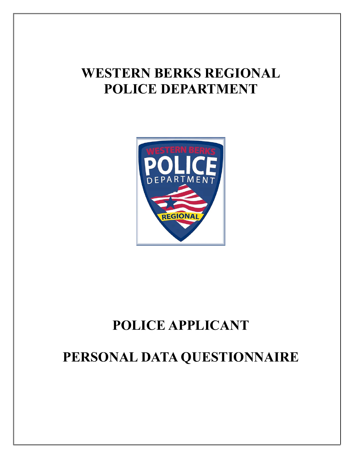# **WESTERN BERKS REGIONAL POLICE DEPARTMENT**



# **POLICE APPLICANT**

# **PERSONAL DATA QUESTIONNAIRE**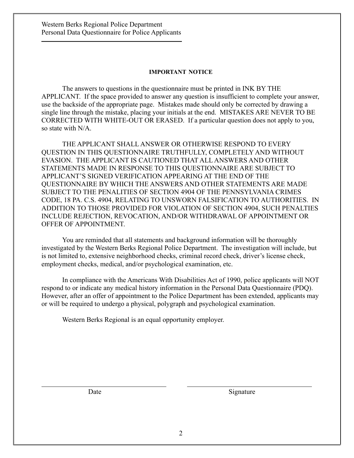#### **IMPORTANT NOTICE**

The answers to questions in the questionnaire must be printed in INK BY THE APPLICANT. If the space provided to answer any question is insufficient to complete your answer, use the backside of the appropriate page. Mistakes made should only be corrected by drawing a single line through the mistake, placing your initials at the end. MISTAKES ARE NEVER TO BE CORRECTED WITH WHITE-OUT OR ERASED. If a particular question does not apply to you, so state with N/A.

THE APPLICANT SHALL ANSWER OR OTHERWISE RESPOND TO EVERY QUESTION IN THIS QUESTIONNAIRE TRUTHFULLY, COMPLETELY AND WITHOUT EVASION. THE APPLICANT IS CAUTIONED THAT ALL ANSWERS AND OTHER STATEMENTS MADE IN RESPONSE TO THIS QUESTIONNAIRE ARE SUBJECT TO APPLICANT'S SIGNED VERIFICATION APPEARING AT THE END OF THE QUESTIONNAIRE BY WHICH THE ANSWERS AND OTHER STATEMENTS ARE MADE SUBJECT TO THE PENALITIES OF SECTION 4904 OF THE PENNSYLVANIA CRIMES CODE, 18 PA. C.S. 4904, RELATING TO UNSWORN FALSIFICATION TO AUTHORITIES. IN ADDITION TO THOSE PROVIDED FOR VIOLATION OF SECTION 4904, SUCH PENALTIES INCLUDE REJECTION, REVOCATION, AND/OR WITHDRAWAL OF APPOINTMENT OR OFFER OF APPOINTMENT.

You are reminded that all statements and background information will be thoroughly investigated by the Western Berks Regional Police Department. The investigation will include, but is not limited to, extensive neighborhood checks, criminal record check, driver's license check, employment checks, medical, and/or psychological examination, etc.

In compliance with the Americans With Disabilities Act of 1990, police applicants will NOT respond to or indicate any medical history information in the Personal Data Questionnaire (PDQ). However, after an offer of appointment to the Police Department has been extended, applicants may or will be required to undergo a physical, polygraph and psychological examination.

Western Berks Regional is an equal opportunity employer.

Date Signature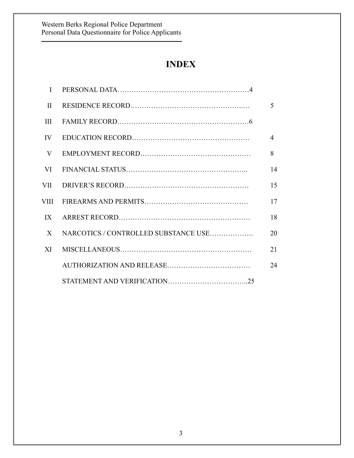# **INDEX**

| $\mathbf{H}$ |                                      | 5              |
|--------------|--------------------------------------|----------------|
| III          |                                      |                |
|              |                                      | $\overline{4}$ |
| V            |                                      | 8              |
|              |                                      | 14             |
|              |                                      | 15             |
|              |                                      | 17             |
|              |                                      | 18             |
| $\mathbf{X}$ | NARCOTICS / CONTROLLED SUBSTANCE USE | 20             |
| XI           |                                      | 21             |
|              |                                      | 24             |
|              |                                      |                |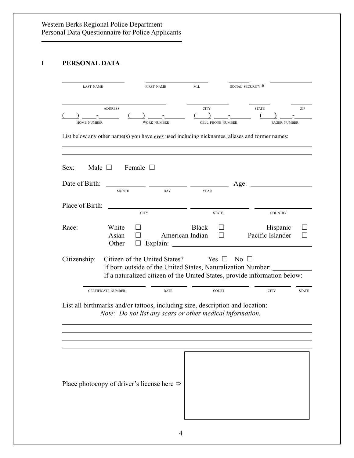# **I PERSONAL DATA**

| <b>LAST NAME</b>                                                              |                                                                                               | <b>FIRST NAME</b>  | M.I.                            |                          | SOCIAL SECURITY #                                                                                                                            |              |
|-------------------------------------------------------------------------------|-----------------------------------------------------------------------------------------------|--------------------|---------------------------------|--------------------------|----------------------------------------------------------------------------------------------------------------------------------------------|--------------|
| <b>HOME NUMBER</b>                                                            | <b>ADDRESS</b>                                                                                | <b>WORK NUMBER</b> | <b>CITY</b>                     | <b>CELL PHONE NUMBER</b> | <b>STATE</b><br><b>PAGER NUMBER</b><br>List below any other name(s) you have <u>ever</u> used including nicknames, aliases and former names: | ZIP          |
|                                                                               |                                                                                               |                    |                                 |                          |                                                                                                                                              |              |
| Male $\Box$<br>Sex:<br>Date of Birth:                                         | Female $\Box$<br><b>MONTH</b>                                                                 | <b>DAY</b>         | <b>YEAR</b>                     | Age:                     |                                                                                                                                              |              |
| Place of Birth:                                                               | <b>CITY</b>                                                                                   |                    |                                 | <b>STATE</b>             | <b>COUNTRY</b>                                                                                                                               |              |
| Race:                                                                         | White<br>Asian<br>Other                                                                       | Explain:           | <b>Black</b><br>American Indian | $\perp$                  | Hispanic<br>Pacific Islander                                                                                                                 |              |
| Citizenship:                                                                  | Citizen of the United States?<br>If born outside of the United States, Naturalization Number: |                    |                                 | Yes $\Box$               | No $\Box$<br>If a naturalized citizen of the United States, provide information below:                                                       |              |
| List all birthmarks and/or tattoos, including size, description and location: | <b>CERTIFICATE NUMBER</b><br>Note: Do not list any scars or other medical information.        | <b>DATE</b>        |                                 | <b>COURT</b>             | <b>CITY</b>                                                                                                                                  | <b>STATE</b> |
|                                                                               |                                                                                               |                    |                                 |                          |                                                                                                                                              |              |
| Place photocopy of driver's license here $\Rightarrow$                        |                                                                                               |                    |                                 |                          |                                                                                                                                              |              |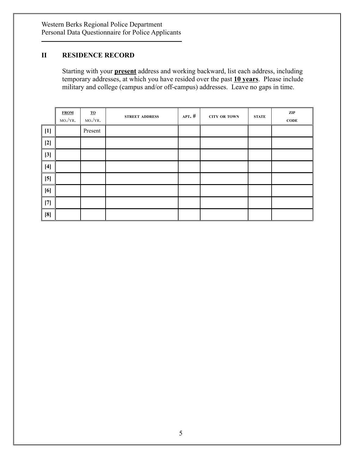# **II RESIDENCE RECORD**

Starting with your **present** address and working backward, list each address, including temporary addresses, at which you have resided over the past **10 years**. Please include military and college (campus and/or off-campus) addresses. Leave no gaps in time.

|       | <b>FROM</b><br>MO./YR. | $\underline{\mathbf{TO}}$<br>$MO./YR$ . | <b>STREET ADDRESS</b> | APT. $#$ | <b>CITY OR TOWN</b> | <b>STATE</b> | ZIP<br><b>CODE</b> |
|-------|------------------------|-----------------------------------------|-----------------------|----------|---------------------|--------------|--------------------|
| $[1]$ |                        | Present                                 |                       |          |                     |              |                    |
| $[2]$ |                        |                                         |                       |          |                     |              |                    |
| $[3]$ |                        |                                         |                       |          |                     |              |                    |
| $[4]$ |                        |                                         |                       |          |                     |              |                    |
| [5]   |                        |                                         |                       |          |                     |              |                    |
| [6]   |                        |                                         |                       |          |                     |              |                    |
| $[7]$ |                        |                                         |                       |          |                     |              |                    |
| [8]   |                        |                                         |                       |          |                     |              |                    |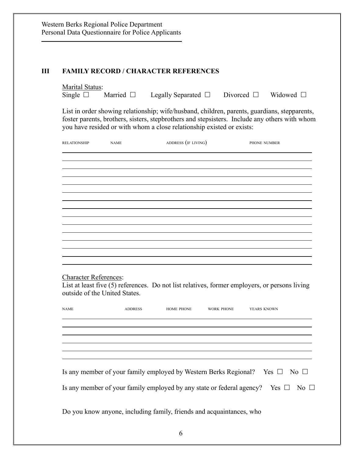#### **III FAMILY RECORD / CHARACTER REFERENCES**

Marital Status:<br>Single  $\square$  Married  $\square$ Legally Separated  $\Box$  Divorced  $\Box$  Widowed  $\Box$ 

List in order showing relationship; wife/husband, children, parents, guardians, stepparents, foster parents, brothers, sisters, stepbrothers and stepsisters. Include any others with whom you have resided or with whom a close relationship existed or exists:

| <b>RELATIONSHIP</b>          | <b>NAME</b>                   | ADDRESS (IF LIVING)                                                  |            | PHONE NUMBER                                                                                  |
|------------------------------|-------------------------------|----------------------------------------------------------------------|------------|-----------------------------------------------------------------------------------------------|
|                              |                               |                                                                      |            |                                                                                               |
|                              |                               |                                                                      |            |                                                                                               |
|                              |                               |                                                                      |            |                                                                                               |
|                              |                               |                                                                      |            |                                                                                               |
|                              |                               |                                                                      |            |                                                                                               |
|                              |                               |                                                                      |            |                                                                                               |
|                              |                               |                                                                      |            |                                                                                               |
|                              |                               |                                                                      |            |                                                                                               |
|                              |                               |                                                                      |            |                                                                                               |
| <b>Character References:</b> | outside of the United States. |                                                                      |            | List at least five (5) references. Do not list relatives, former employers, or persons living |
| <b>NAME</b>                  | ADDRESS                       | HOME PHONE                                                           | WORK PHONE | YEARS KNOWN                                                                                   |
|                              |                               |                                                                      |            |                                                                                               |
|                              |                               |                                                                      |            |                                                                                               |
|                              |                               |                                                                      |            |                                                                                               |
|                              |                               |                                                                      |            | Is any member of your family employed by Western Berks Regional? Yes $\Box$ No $\Box$         |
|                              |                               |                                                                      |            | Is any member of your family employed by any state or federal agency? Yes $\Box$ No $\Box$    |
|                              |                               | Do you know anyone, including family, friends and acquaintances, who |            |                                                                                               |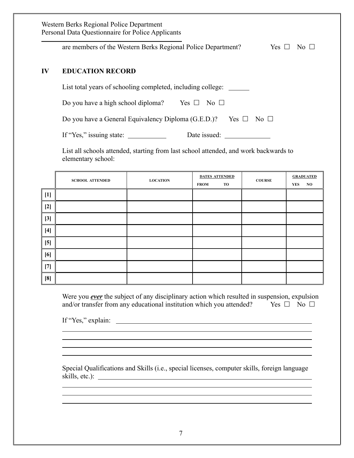| Western Berks Regional Police Department<br>Personal Data Questionnaire for Police Applicants |                                                                                         |  |  |  |  |
|-----------------------------------------------------------------------------------------------|-----------------------------------------------------------------------------------------|--|--|--|--|
|                                                                                               | are members of the Western Berks Regional Police Department?<br>Yes $\Box$<br>No $\Box$ |  |  |  |  |
| $\mathbf{I} \mathbf{V}$                                                                       | <b>EDUCATION RECORD</b>                                                                 |  |  |  |  |
|                                                                                               | List total years of schooling completed, including college:                             |  |  |  |  |
|                                                                                               | Do you have a high school diploma?<br>Yes $\Box$<br>No $\Box$                           |  |  |  |  |
|                                                                                               | Do you have a General Equivalency Diploma (G.E.D.)?<br>Yes $\Box$<br>No $\Box$          |  |  |  |  |
|                                                                                               | If "Yes," issuing state:<br>Date issued:                                                |  |  |  |  |

List all schools attended, starting from last school attended, and work backwards to elementary school:

|       | <b>SCHOOL ATTENDED</b> | <b>LOCATION</b> | <b>FROM</b> | <b>DATES ATTENDED</b><br>TO | <b>COURSE</b> | <b>YES</b> | <b>GRADUATED</b><br>NO |
|-------|------------------------|-----------------|-------------|-----------------------------|---------------|------------|------------------------|
| $[1]$ |                        |                 |             |                             |               |            |                        |
| $[2]$ |                        |                 |             |                             |               |            |                        |
| $[3]$ |                        |                 |             |                             |               |            |                        |
| $[4]$ |                        |                 |             |                             |               |            |                        |
| $[5]$ |                        |                 |             |                             |               |            |                        |
| [6]   |                        |                 |             |                             |               |            |                        |
| $[7]$ |                        |                 |             |                             |               |            |                        |
| [8]   |                        |                 |             |                             |               |            |                        |

Were you *ever* the subject of any disciplinary action which resulted in suspension, expulsion and/or transfer from any educational institution which you attended? Yes  $\Box$  No  $\Box$ 

<u> 1989 - Andrea San Andrea San Andrea San Andrea San Andrea San Andrea San Andrea San Andrea San Andrea San An</u>

If "Yes," explain:

Special Qualifications and Skills (i.e., special licenses, computer skills, foreign language skills, etc.):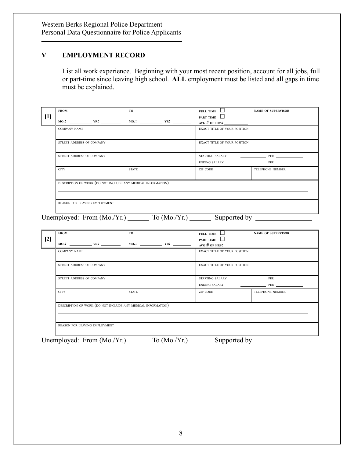# **V EMPLOYMENT RECORD**

List all work experience. Beginning with your most recent position, account for all jobs, full or part-time since leaving high school. **ALL** employment must be listed and all gaps in time must be explained.

| $[1]$ | <b>FROM</b><br>$MO:$ $YR:$ $YR:$                             | TO.          | <b>FULL TIME</b><br>PART TIME<br>AVG # OF HRS: $\_$          | <b>NAME OF SUPERVISOR</b> |  |  |  |
|-------|--------------------------------------------------------------|--------------|--------------------------------------------------------------|---------------------------|--|--|--|
|       | <b>COMPANY NAME</b>                                          |              | <b>EXACT TITLE OF YOUR POSITION</b>                          |                           |  |  |  |
|       | STREET ADDRESS OF COMPANY                                    |              | <b>EXACT TITLE OF YOUR POSITION</b>                          |                           |  |  |  |
|       | STREET ADDRESS OF COMPANY                                    |              | <b>STARTING SALARY</b><br><b>PER</b><br><b>ENDING SALARY</b> |                           |  |  |  |
|       | <b>CITY</b>                                                  | <b>STATE</b> | ZIP CODE                                                     | <b>TELEPHONE NUMBER</b>   |  |  |  |
|       | DESCRIPTION OF WORK (DO NOT INCLUDE ANY MEDICAL INFORMATION) |              |                                                              |                           |  |  |  |
|       | REASON FOR LEAVING EMPLOYMENT                                |              |                                                              |                           |  |  |  |
|       | Unemployed: From (Mo./Yr.)<br>To $(Mo/Yr.)$<br>Supported by  |              |                                                              |                           |  |  |  |

|       | <b>FROM</b>                                                  | <b>TO</b>    | FULL TIME $\Box$                           | <b>NAME OF SUPERVISOR</b> |  |
|-------|--------------------------------------------------------------|--------------|--------------------------------------------|---------------------------|--|
| $[2]$ | $MO:$ $YR:$ $YR:$                                            | $MO:$ $YR:$  | PART TIME<br>AVG # OF HRS: $\qquad \qquad$ |                           |  |
|       | <b>COMPANY NAME</b>                                          |              | <b>EXACT TITLE OF YOUR POSITION</b>        |                           |  |
|       | STREET ADDRESS OF COMPANY                                    |              | EXACT TITLE OF YOUR POSITION               |                           |  |
|       | STREET ADDRESS OF COMPANY                                    |              | STARTING SALARY<br><b>ENDING SALARY</b>    |                           |  |
|       | <b>CITY</b>                                                  | <b>STATE</b> | ZIP CODE                                   | TELEPHONE NUMBER          |  |
|       | DESCRIPTION OF WORK (DO NOT INCLUDE ANY MEDICAL INFORMATION) |              |                                            |                           |  |
|       | REASON FOR LEAVING EMPLOYMENT                                |              |                                            |                           |  |

Unemployed: From  $(Mo./Yr.)$  To  $(Mo./Yr.)$  Supported by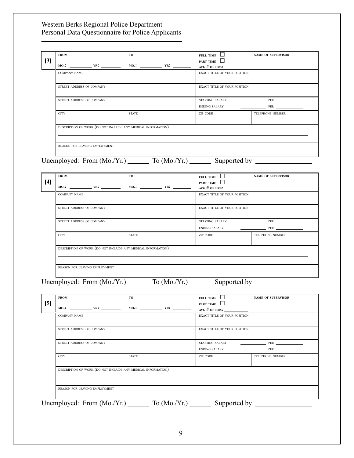| <b>FROM</b>                   | <b>TO</b>                                                    |             | FULL TIME $\Box$                                            | <b>NAME OF SUPERVISOR</b>                                |  |  |
|-------------------------------|--------------------------------------------------------------|-------------|-------------------------------------------------------------|----------------------------------------------------------|--|--|
| $[3]$                         |                                                              |             | PART TIME                                                   |                                                          |  |  |
|                               |                                                              |             | AVG # OF HRS:                                               |                                                          |  |  |
| <b>COMPANY NAME</b>           |                                                              |             | EXACT TITLE OF YOUR POSITION                                |                                                          |  |  |
| STREET ADDRESS OF COMPANY     |                                                              |             | EXACT TITLE OF YOUR POSITION                                |                                                          |  |  |
| STREET ADDRESS OF COMPANY     |                                                              |             | STARTING SALARY                                             | $PER$                                                    |  |  |
|                               |                                                              |             | ENDING SALARY                                               | PER                                                      |  |  |
| <b>CITY</b>                   | <b>STATE</b>                                                 |             | ZIP CODE                                                    | <b>TELEPHONE NUMBER</b>                                  |  |  |
|                               | DESCRIPTION OF WORK (DO NOT INCLUDE ANY MEDICAL INFORMATION) |             |                                                             |                                                          |  |  |
| REASON FOR LEAVING EMPLOYMENT |                                                              |             |                                                             |                                                          |  |  |
|                               |                                                              |             | Unemployed: From (Mo./Yr.) To (Mo./Yr.) Supported by ______ |                                                          |  |  |
|                               |                                                              |             |                                                             |                                                          |  |  |
| <b>FROM</b>                   | TO                                                           |             | FULL TIME $\Box$                                            | <b>NAME OF SUPERVISOR</b>                                |  |  |
| $[4]$                         |                                                              |             | PART TIME                                                   |                                                          |  |  |
|                               |                                                              |             | AVG # OF HRS:                                               |                                                          |  |  |
| <b>COMPANY NAME</b>           |                                                              |             | EXACT TITLE OF YOUR POSITION                                |                                                          |  |  |
| STREET ADDRESS OF COMPANY     |                                                              |             | EXACT TITLE OF YOUR POSITION                                |                                                          |  |  |
| STREET ADDRESS OF COMPANY     |                                                              |             | STARTING SALARY                                             | PER PER                                                  |  |  |
|                               |                                                              |             | <b>ENDING SALARY</b>                                        | PER                                                      |  |  |
| <b>CITY</b>                   | <b>STATE</b>                                                 |             | ZIP CODE                                                    | TELEPHONE NUMBER                                         |  |  |
|                               | DESCRIPTION OF WORK (DO NOT INCLUDE ANY MEDICAL INFORMATION) |             |                                                             |                                                          |  |  |
| REASON FOR LEAVING EMPLOYMENT |                                                              |             |                                                             |                                                          |  |  |
|                               |                                                              |             |                                                             |                                                          |  |  |
|                               |                                                              |             |                                                             | Unemployed: From $(Mo./Yr.)$ To $(Mo./Yr.)$ Supported by |  |  |
| <b>FROM</b>                   | TO                                                           |             | FULL TIME                                                   | <b>NAME OF SUPERVISOR</b>                                |  |  |
| $[5]$                         |                                                              |             | PART TIME $\Box$                                            |                                                          |  |  |
|                               | $MO:$ $YR:$ $\qquad \qquad$ $ $                              | $MO:$ $YR:$ | AVG $#$ OF HRS:                                             |                                                          |  |  |
| <b>COMPANY NAME</b>           |                                                              |             | EXACT TITLE OF YOUR POSITION                                |                                                          |  |  |
| STREET ADDRESS OF COMPANY     |                                                              |             | EXACT TITLE OF YOUR POSITION                                |                                                          |  |  |
| STREET ADDRESS OF COMPANY     |                                                              |             | <b>STARTING SALARY</b>                                      | <b>PER PER PER</b>                                       |  |  |
|                               |                                                              |             | <b>ENDING SALARY</b>                                        | PER                                                      |  |  |
| <b>CITY</b>                   | <b>STATE</b>                                                 |             | ZIP CODE                                                    | TELEPHONE NUMBER                                         |  |  |
|                               | DESCRIPTION OF WORK (DO NOT INCLUDE ANY MEDICAL INFORMATION) |             |                                                             |                                                          |  |  |
|                               |                                                              |             |                                                             |                                                          |  |  |
| REASON FOR LEAVING EMPLOYMENT |                                                              |             |                                                             |                                                          |  |  |
|                               | Unemployed: From $(Mo/Yr.)$                                  |             | Supported by                                                |                                                          |  |  |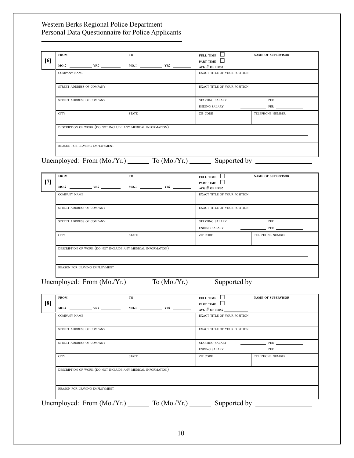| <b>FROM</b><br>[6]   |                               | <b>TO</b>                                                                         | FULL TIME $\Box$<br>PART TIME          | <b>NAME OF SUPERVISOR</b>      |  |
|----------------------|-------------------------------|-----------------------------------------------------------------------------------|----------------------------------------|--------------------------------|--|
|                      |                               |                                                                                   | AVG # OF HRS:                          |                                |  |
| <b>COMPANY NAME</b>  |                               |                                                                                   | EXACT TITLE OF YOUR POSITION           |                                |  |
|                      | STREET ADDRESS OF COMPANY     |                                                                                   | EXACT TITLE OF YOUR POSITION           |                                |  |
|                      | STREET ADDRESS OF COMPANY     |                                                                                   | STARTING SALARY                        | PER                            |  |
| <b>CITY</b>          |                               | <b>STATE</b>                                                                      | <b>ENDING SALARY</b><br>ZIP CODE       | PER<br><b>TELEPHONE NUMBER</b> |  |
|                      |                               | DESCRIPTION OF WORK (DO NOT INCLUDE ANY MEDICAL INFORMATION)                      |                                        |                                |  |
|                      |                               |                                                                                   |                                        |                                |  |
|                      | REASON FOR LEAVING EMPLOYMENT |                                                                                   |                                        |                                |  |
|                      |                               | Unemployed: From (Mo./Yr.) To (Mo./Yr.) Supported by ____________________________ |                                        |                                |  |
| <b>FROM</b>          |                               | <b>TO</b>                                                                         | FULL TIME $\Box$                       | <b>NAME OF SUPERVISOR</b>      |  |
| $[7]$                |                               |                                                                                   | PART TIME $\Box$<br>AVG # OF HRS: $\_$ |                                |  |
| <b>COMPANY NAME</b>  |                               |                                                                                   | EXACT TITLE OF YOUR POSITION           |                                |  |
|                      | STREET ADDRESS OF COMPANY     |                                                                                   | EXACT TITLE OF YOUR POSITION           |                                |  |
|                      | STREET ADDRESS OF COMPANY     |                                                                                   | <b>STARTING SALARY</b>                 | PER                            |  |
|                      |                               |                                                                                   | <b>ENDING SALARY</b>                   |                                |  |
| <b>CITY</b>          |                               | <b>STATE</b>                                                                      | ZIP CODE                               | <b>TELEPHONE NUMBER</b>        |  |
|                      |                               | DESCRIPTION OF WORK (DO NOT INCLUDE ANY MEDICAL INFORMATION)                      |                                        |                                |  |
|                      | REASON FOR LEAVING EMPLOYMENT |                                                                                   |                                        |                                |  |
|                      |                               | Unemployed: From (Mo./Yr.) To (Mo./Yr.) Supported by _______                      |                                        |                                |  |
|                      |                               |                                                                                   |                                        |                                |  |
| <b>FROM</b><br>$[8]$ |                               | <b>TO</b>                                                                         | FULL TIME $\Box$<br>PART TIME $\Box$   | <b>NAME OF SUPERVISOR</b>      |  |
| мо.:                 | $YR$ :                        |                                                                                   | AVG $#$ OF HRS:                        |                                |  |
| <b>COMPANY NAME</b>  |                               |                                                                                   | EXACT TITLE OF YOUR POSITION           |                                |  |
|                      | STREET ADDRESS OF COMPANY     |                                                                                   | EXACT TITLE OF YOUR POSITION           |                                |  |
|                      | STREET ADDRESS OF COMPANY     |                                                                                   | <b>STARTING SALARY</b>                 | PER                            |  |
|                      |                               |                                                                                   | <b>ENDING SALARY</b>                   | PER _                          |  |
| <b>CITY</b>          |                               | <b>STATE</b>                                                                      | ZIP CODE                               | TELEPHONE NUMBER               |  |
|                      |                               | DESCRIPTION OF WORK (DO NOT INCLUDE ANY MEDICAL INFORMATION)                      |                                        |                                |  |
|                      | REASON FOR LEAVING EMPLOYMENT |                                                                                   |                                        |                                |  |
|                      |                               |                                                                                   |                                        |                                |  |
|                      | Unemployed: From (Mo./Yr.)    | To $(Mo./Yr.)$                                                                    | Supported by                           |                                |  |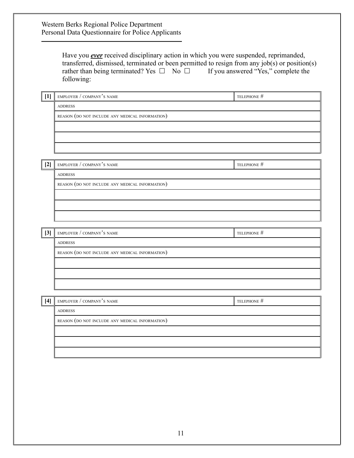|       | Have you <b>ever</b> received disciplinary action in which you were suspended, reprimanded,<br>transferred, dismissed, terminated or been permitted to resign from any job(s) or position(s)<br>rather than being terminated? Yes $\Box$ No $\Box$ If you answered "Yes," complete the<br>following: |             |
|-------|------------------------------------------------------------------------------------------------------------------------------------------------------------------------------------------------------------------------------------------------------------------------------------------------------|-------------|
| $[1]$ | EMPLOYER / COMPANY'S NAME                                                                                                                                                                                                                                                                            | TELEPHONE # |
|       | <b>ADDRESS</b>                                                                                                                                                                                                                                                                                       |             |
|       | REASON (DO NOT INCLUDE ANY MEDICAL INFORMATION)                                                                                                                                                                                                                                                      |             |
|       |                                                                                                                                                                                                                                                                                                      |             |
| $[2]$ | EMPLOYER / COMPANY'S NAME                                                                                                                                                                                                                                                                            | TELEPHONE # |
|       | <b>ADDRESS</b>                                                                                                                                                                                                                                                                                       |             |
|       | REASON (DO NOT INCLUDE ANY MEDICAL INFORMATION)                                                                                                                                                                                                                                                      |             |
| $[3]$ | EMPLOYER / COMPANY'S NAME                                                                                                                                                                                                                                                                            | TELEPHONE # |
|       | <b>ADDRESS</b>                                                                                                                                                                                                                                                                                       |             |
|       | REASON (DO NOT INCLUDE ANY MEDICAL INFORMATION)                                                                                                                                                                                                                                                      |             |
|       |                                                                                                                                                                                                                                                                                                      |             |
| [4]   | EMPLOYER / COMPANY'S NAME                                                                                                                                                                                                                                                                            | TELEPHONE # |
|       | <b>ADDRESS</b>                                                                                                                                                                                                                                                                                       |             |
|       | REASON (DO NOT INCLUDE ANY MEDICAL INFORMATION)                                                                                                                                                                                                                                                      |             |
|       |                                                                                                                                                                                                                                                                                                      |             |
|       |                                                                                                                                                                                                                                                                                                      |             |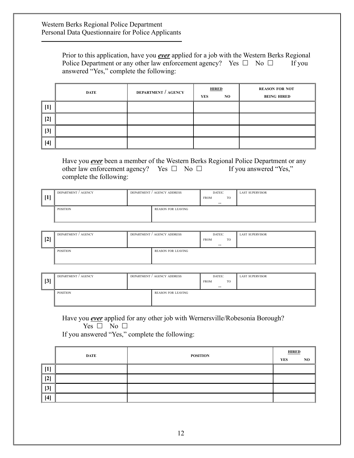Prior to this application, have you *ever* applied for a job with the Western Berks Regional Police Department or any other law enforcement agency? Yes  $\Box$  No  $\Box$  If you answered "Yes," complete the following:

|                 | DATE | <b>DEPARTMENT / AGENCY</b> | <b>HIRED</b> |     | <b>REASON FOR NOT</b> |
|-----------------|------|----------------------------|--------------|-----|-----------------------|
|                 |      |                            | YES          | NO. | <b>BEING HIRED</b>    |
| $\parallel$ [1] |      |                            |              |     |                       |
| $\vert$ [2]     |      |                            |              |     |                       |
| 3]              |      |                            |              |     |                       |
| $[4]$           |      |                            |              |     |                       |

Have you *ever* been a member of the Western Berks Regional Police Department or any other law enforcement agency? Yes  $\Box$  No  $\Box$  If you answered "Yes," complete the following:

| $\vert$ 1 | DEPARTMENT / AGENCY |  | DEPARTMENT / AGENCY ADDRESS | DATES:<br><b>FROM</b><br>$\overline{\phantom{a}}$ | <b>TO</b> | <b>LAST SUPERVISOR</b> |
|-----------|---------------------|--|-----------------------------|---------------------------------------------------|-----------|------------------------|
|           | <b>POSITION</b>     |  | <b>REASON FOR LEAVING</b>   |                                                   |           |                        |

| $\left 2\right $ | DEPARTMENT / AGENCY |  | DEPARTMENT / AGENCY ADDRESS | DATES:<br><b>FROM</b><br>$- -$ | <b>TO</b> | <b>LAST SUPERVISOR</b> |
|------------------|---------------------|--|-----------------------------|--------------------------------|-----------|------------------------|
|                  | POSITION            |  | REASON FOR LEAVING          |                                |           |                        |

| $\lceil 3 \rceil$ | DEPARTMENT / AGENCY |  | DEPARTMENT / AGENCY ADDRESS | DATES:<br><b>FROM</b><br>$- -$ | <b>TO</b> | <b>LAST SUPERVISOR</b> |
|-------------------|---------------------|--|-----------------------------|--------------------------------|-----------|------------------------|
|                   | <b>POSITION</b>     |  | <b>REASON FOR LEAVING</b>   |                                |           |                        |

Have you *ever* applied for any other job with Wernersville/Robesonia Borough?

Yes  $\Box$  No  $\Box$ 

If you answered "Yes," complete the following:

|           | DATE | <b>POSITION</b> |  | <b>HIRED</b> |  |
|-----------|------|-----------------|--|--------------|--|
|           |      |                 |  | NO.          |  |
| 1 T<br>ч, |      |                 |  |              |  |
| $[2]$     |      |                 |  |              |  |
| $[3]$     |      |                 |  |              |  |
| $[4]$     |      |                 |  |              |  |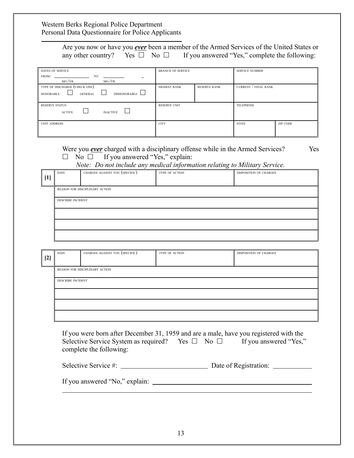|                                                           |                                               | Are you now or have you <i>ever</i> been a member of the Armed Services of the United States or<br>any other country? Yes $\Box$ No $\Box$ If you answered "Yes," complete the following:                                                                 |                          |                     |                        |                  |  |
|-----------------------------------------------------------|-----------------------------------------------|-----------------------------------------------------------------------------------------------------------------------------------------------------------------------------------------------------------------------------------------------------------|--------------------------|---------------------|------------------------|------------------|--|
|                                                           | <b>DATES OF SERVICE</b><br>FROM.<br>$MO/NR$ . | TO:<br>$MO./YR$ .                                                                                                                                                                                                                                         | <b>BRANCH OF SERVICE</b> |                     | <b>SERVICE NUMBER</b>  |                  |  |
| <b>HONORABLE</b>                                          | TYPE OF DISCHARGE (CHECK ONE)                 | <b>DISHONORABLE</b><br><b>GENERAL</b>                                                                                                                                                                                                                     | <b>HIGHEST RANK</b>      | <b>RESERVE RANK</b> | CURRENT / FINAL RANK   |                  |  |
| <b>RESERVE STATUS</b><br><b>INACTIVE</b><br><b>ACTIVE</b> |                                               |                                                                                                                                                                                                                                                           | <b>RESERVE UNIT</b>      |                     |                        | <b>TELEPHONE</b> |  |
| <b>UNIT ADDRESS</b>                                       |                                               |                                                                                                                                                                                                                                                           | <b>CITY</b>              |                     |                        | <b>ZIP CODE</b>  |  |
|                                                           | <b>DATE</b>                                   | Were you <b><i>ever</i></b> charged with a disciplinary offense while in the Armed Services?<br>No $\Box$ If you answered "Yes," explain:<br>Note: Do not include any medical information relating to Military Service.<br>CHARGES AGAINST YOU (SPECIFIC) | <b>TYPE OF ACTION</b>    |                     | DISPOSITION OF CHARGES | Yes              |  |
| $[1]$                                                     | <b>DESCRIBE INCIDENT</b>                      | REASON FOR DISCIPLINARY ACTION                                                                                                                                                                                                                            |                          |                     |                        |                  |  |

| [2] | DATE                           | CHARGES AGAINST YOU (SPECIFIC) | TYPE OF ACTION | DISPOSITION OF CHARGES |  |  |  |
|-----|--------------------------------|--------------------------------|----------------|------------------------|--|--|--|
|     | REASON FOR DISCIPLINARY ACTION |                                |                |                        |  |  |  |
|     | <b>DESCRIBE INCIDENT</b>       |                                |                |                        |  |  |  |
|     |                                |                                |                |                        |  |  |  |
|     |                                |                                |                |                        |  |  |  |
|     |                                |                                |                |                        |  |  |  |

If you were born after December 31, 1959 and are a male, have you registered with the Selective Service System as required? Yes  $\Box$  No  $\Box$  If you answered "Yes," complete the following:

| Selective Service #: | Date of Registration: |  |
|----------------------|-----------------------|--|
|                      |                       |  |

If you answered "No," explain: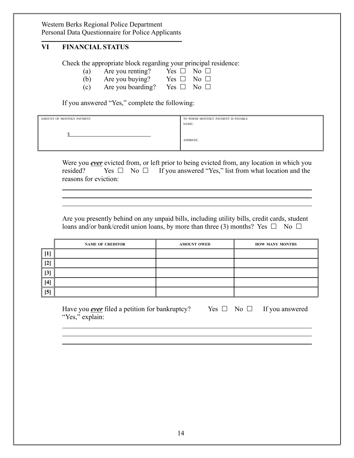## **VI FINANCIAL STATUS**

Check the appropriate block regarding your principal residence:

- (a) Are you renting? Yes  $\Box$  No  $\Box$
- (b) Are you buying? Yes  $\Box$  No  $\Box$
- (c) Are you boarding? Yes  $\Box$  No  $\Box$

If you answered "Yes," complete the following:

| AMOUNT OF MONTHLY PAYMENT | TO WHOM MONTHLY PAYMENT IS PAYABLE |
|---------------------------|------------------------------------|
|                           | NAME:                              |
|                           | <b>ADDRESS:</b>                    |

Were you *ever* evicted from, or left prior to being evicted from, any location in which you resided? Yes  $\Box$  No  $\Box$  If you answered "Yes," list from what location and the reasons for eviction:

Are you presently behind on any unpaid bills, including utility bills, credit cards, student loans and/or bank/credit union loans, by more than three (3) months? Yes  $\Box$  No  $\Box$ 

|     | <b>NAME OF CREDITOR</b> | <b>AMOUNT OWED</b> | <b>HOW MANY MONTHS</b> |
|-----|-------------------------|--------------------|------------------------|
|     |                         |                    |                        |
| [2] |                         |                    |                        |
| [3] |                         |                    |                        |
| [4] |                         |                    |                        |
| [5] |                         |                    |                        |

Have you <u>ever</u> filed a petition for bankruptcy? Yes  $\Box$  No  $\Box$  If you answered "Yes," explain: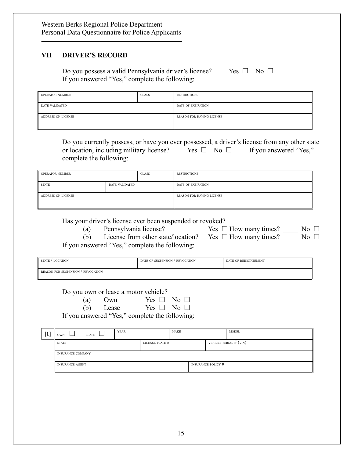### **VII DRIVER'S RECORD**

Do you possess a valid Pennsylvania driver's license? Yes  $\Box$  No  $\Box$ If you answered "Yes," complete the following:

| <b>OPERATOR NUMBER</b> | <b>CLASS</b> | <b>RESTRICTIONS</b>              |  |
|------------------------|--------------|----------------------------------|--|
| <b>DATE VALIDATED</b>  |              | DATE OF EXPIRATION               |  |
| ADDRESS ON LICENSE     |              | <b>REASON FOR HAVING LICENSE</b> |  |

Do you currently possess, or have you ever possessed, a driver's license from any other state<br>or location, including military license? Yes  $\Box$  No  $\Box$  If you answered "Yes." or location, including military license? Yes  $\Box$  No  $\Box$  If you answered "Yes," complete the following:

| <b>OPERATOR NUMBER</b>                |  | <b>CLASS</b> | <b>RESTRICTIONS</b>              |
|---------------------------------------|--|--------------|----------------------------------|
| <b>STATE</b><br><b>DATE VALIDATED</b> |  |              | DATE OF EXPIRATION               |
| ADDRESS ON LICENSE                    |  |              | <b>REASON FOR HAVING LICENSE</b> |

Has your driver's license ever been suspended or revoked?

(a) Pennsylvania license? Yes  $\Box$  How many times? No  $\Box$ 

|  | $\Box$ How many times? |  |
|--|------------------------|--|
|--|------------------------|--|

(b) License from other state/location? Yes  $\Box$  How many times?  $\Box$  No  $\Box$ If you answered "Yes," complete the following:

| STATE / LOCATION                   | DATE OF SUSPENSION / REVOCATION | DATE OF REINSTATEMENT |
|------------------------------------|---------------------------------|-----------------------|
| REASON FOR SUSPENSION / REVOCATION |                                 |                       |

Do you own or lease a motor vehicle?

| (a) Own   | Yes $\Box$ No $\Box$ |  |
|-----------|----------------------|--|
| (b) Lease | Yes $\Box$ No $\Box$ |  |

If you answered "Yes," complete the following:

| r 1 1 | OWN                      | LEASE<br>- | <b>YEAR</b> |                           | <b>MAKE</b> | <b>MODEL</b>             |
|-------|--------------------------|------------|-------------|---------------------------|-------------|--------------------------|
|       | <b>STATE</b>             |            |             | LICENSE PLATE #           |             | VEHICLE SERIAL $#$ (VIN) |
|       | <b>INSURANCE COMPANY</b> |            |             |                           |             |                          |
|       | <b>INSURANCE AGENT</b>   |            |             | <b>INSURANCE POLICY #</b> |             |                          |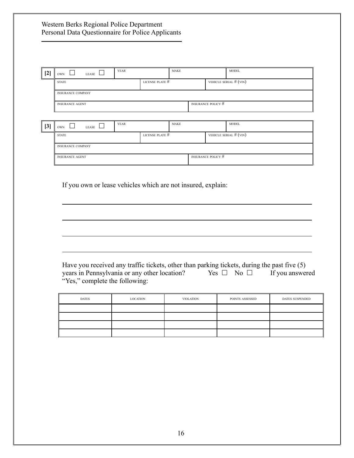| [2]   | <b>OWN</b>               | LEASE | <b>YEAR</b> |                           | <b>MAKE</b> |  | <b>MODEL</b>             |
|-------|--------------------------|-------|-------------|---------------------------|-------------|--|--------------------------|
|       | <b>STATE</b>             |       |             | LICENSE PLATE #           |             |  | VEHICLE SERIAL $#$ (VIN) |
|       | <b>INSURANCE COMPANY</b> |       |             |                           |             |  |                          |
|       | <b>INSURANCE AGENT</b>   |       |             | <b>INSURANCE POLICY #</b> |             |  |                          |
|       |                          |       |             |                           |             |  |                          |
| $[3]$ | <b>OWN</b>               | LEASE | <b>YEAR</b> |                           | <b>MAKE</b> |  | <b>MODEL</b>             |
|       | <b>STATE</b>             |       |             | LICENSE PLATE #           |             |  | VEHICLE SERIAL $#$ (VIN) |

| <b>INSURANCE COMPANY</b> |  |                    |  |
|--------------------------|--|--------------------|--|
|                          |  |                    |  |
| <b>INSURANCE AGENT</b>   |  | INSURANCE POLICY # |  |
|                          |  |                    |  |

If you own or lease vehicles which are not insured, explain:

Have you received any traffic tickets, other than parking tickets, during the past five (5) years in Pennsylvania or any other location? Yes  $\Box$  No  $\Box$  If you answered "Yes," complete the following:

| <b>DATES</b> | LOCATION | <b>VIOLATION</b> | POINTS ASSESSED | <b>DATES SUSPENDED</b> |
|--------------|----------|------------------|-----------------|------------------------|
|              |          |                  |                 |                        |
|              |          |                  |                 |                        |
|              |          |                  |                 |                        |
|              |          |                  |                 |                        |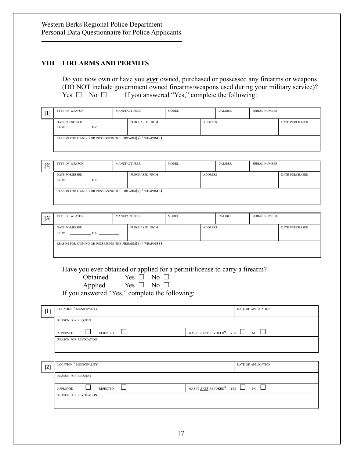#### **VIII FIREARMS AND PERMITS**

Do you now own or have you *ever* owned, purchased or possessed any firearms or weapons (DO NOT include government owned firearms/weapons used during your military service)?<br>
Yes  $\square$  No  $\square$  If you answered "Yes," complete the following: If you answered "Yes," complete the following:

| $[1]$ |                                                                                |                                     |              |                |                                                                            |                            |                       |
|-------|--------------------------------------------------------------------------------|-------------------------------------|--------------|----------------|----------------------------------------------------------------------------|----------------------------|-----------------------|
|       | TYPE OF WEAPON                                                                 | MANUFACTURER                        | <b>MODEL</b> |                | <b>CALIBER</b>                                                             | <b>SERIAL NUMBER</b>       |                       |
|       | DATE POSSESSED<br>FROM: $\qquad \qquad \text{TO:}$                             | <b>PURCHASED FROM</b>               |              | <b>ADDRESS</b> |                                                                            |                            | <b>DATE PURCHASED</b> |
|       | REASON FOR OWNING OR POSSESSING THE FIREARM(S) / $\overline{\text{WEAPON}}(S)$ |                                     |              |                |                                                                            |                            |                       |
|       |                                                                                |                                     |              |                |                                                                            |                            |                       |
| $[2]$ | TYPE OF WEAPON                                                                 | <b>MANUFACTURER</b>                 | <b>MODEL</b> |                | <b>CALIBER</b>                                                             | <b>SERIAL NUMBER</b>       |                       |
|       | DATE POSSESSED<br>FROM: $\qquad \qquad \qquad \text{TO:}$                      | PURCHASED FROM                      |              | <b>ADDRESS</b> |                                                                            |                            | <b>DATE PURCHASED</b> |
|       | REASON FOR OWNING OR POSSESSING THE FIREARM $(s)$ / WEAPON $(s)$               |                                     |              |                |                                                                            |                            |                       |
|       |                                                                                |                                     |              |                |                                                                            |                            |                       |
| [3]   | TYPE OF WEAPON                                                                 | MANUFACTURER                        | MODEL        |                | <b>CALIBER</b>                                                             | <b>SERIAL NUMBER</b>       |                       |
|       | DATE POSSESSED<br>FROM: $\qquad \qquad \qquad$ TO: $\qquad \qquad$             | PURCHASED FROM                      |              | <b>ADDRESS</b> |                                                                            |                            | <b>DATE PURCHASED</b> |
|       | REASON FOR OWNING OR POSSESSING THE FIREARM $(s)$ / WEAPON $(s)$               |                                     |              |                |                                                                            |                            |                       |
|       |                                                                                | Obtained Yes $\square$ No $\square$ |              |                | Have you ever obtained or applied for a permit/license to carry a firearm? |                            |                       |
|       | If you answered "Yes," complete the following:                                 | Applied Yes $\square$ No $\square$  |              |                |                                                                            |                            |                       |
| $[1]$ | LOCATION / MUNICIPALITY                                                        |                                     |              |                |                                                                            | DATE OF APPLICATION        |                       |
|       | <b>REASON FOR REQUEST</b>                                                      |                                     |              |                |                                                                            |                            |                       |
|       | <b>REJECTED</b><br><b>APPROVED</b>                                             |                                     |              |                | WAS IT <b>EVER</b> REVOKED? YES                                            | $_{\rm NO}$ $\Box$         |                       |
|       | REASON FOR REVOCATION                                                          |                                     |              |                |                                                                            |                            |                       |
| $[2]$ | $\overline{\phantom{a}}$ LOCATION / MUNICIPALITY                               |                                     |              |                |                                                                            | <b>DATE OF APPLICATION</b> |                       |
|       | <b>REASON FOR REQUEST</b>                                                      |                                     |              |                |                                                                            |                            |                       |
|       | <b>REJECTED</b><br><b>APPROVED</b>                                             |                                     |              |                | WAS IT <b>EVER</b> REVOKED? YES                                            | I.<br>NO                   |                       |
|       | REASON FOR REVOCATION                                                          |                                     |              |                |                                                                            |                            |                       |
|       |                                                                                |                                     |              |                |                                                                            |                            |                       |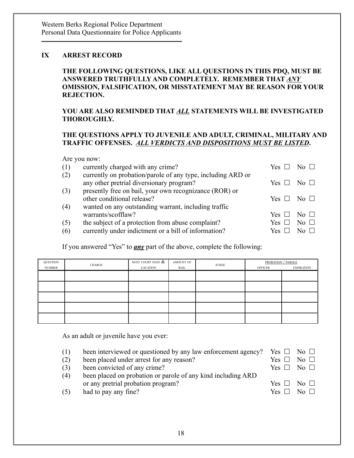# **IX ARREST RECORD**

#### **THE FOLLOWING QUESTIONS, LIKE ALL QUESTIONS IN THIS PDQ, MUST BE ANSWERED TRUTHFULLY AND COMPLETELY. REMEMBER THAT** *ANY* **OMISSION, FALSIFICATION, OR MISSTATEMENT MAY BE REASON FOR YOUR REJECTION.**

## **YOU ARE ALSO REMINDED THAT** *ALL* **STATEMENTS WILL BE INVESTIGATED THOROUGHLY.**

## **THE QUESTIONS APPLY TO JUVENILE AND ADULT, CRIMINAL, MILITARY AND TRAFFIC OFFENSES.** *ALL VERDICTS AND DISPOSITIONS MUST BE LISTED***.**

Are you now:

|     | $1.12$ , $0.4$ , $1.0$ , $1.7$ .                            |       |           |
|-----|-------------------------------------------------------------|-------|-----------|
| (1) | currently charged with any crime?                           | Yes - |           |
| (2) | currently on probation/parole of any type, including ARD or |       |           |
|     | any other pretrial diversionary program?                    | Yes - | No. LI    |
| (3) | presently free on bail, your own recognizance (ROR) or      |       |           |
|     | other conditional release?                                  | Yes - | $N_0$     |
| (4) | wanted on any outstanding warrant, including traffic        |       |           |
|     | warrants/scofflaw?                                          | Yes - | $N_0$     |
| (5) | the subject of a protection from abuse complaint?           | Yes-  | No $\Box$ |
| (6) | currently under indictment or a bill of information?        | Yes   |           |
|     |                                                             |       |           |

If you answered "Yes" to *any* part of the above, complete the following:

| QUESTION      | CHARGE | NEXT COURT DATE $\overline{\&}$ | AMOUNT OF | <b>JUDGE</b> |                | <b>PROBATION</b> / PAROLE |
|---------------|--------|---------------------------------|-----------|--------------|----------------|---------------------------|
| <b>NUMBER</b> |        | LOCATION                        | BAIL      |              | <b>OFFICER</b> | <b>EXPIRATION</b>         |
|               |        |                                 |           |              |                |                           |
|               |        |                                 |           |              |                |                           |
|               |        |                                 |           |              |                |                           |
|               |        |                                 |           |              |                |                           |
|               |        |                                 |           |              |                |                           |

As an adult or juvenile have you ever:

| (1) | been interviewed or questioned by any law enforcement agency? Yes $\square$ No $\square$ |  |  |  |  |
|-----|------------------------------------------------------------------------------------------|--|--|--|--|
|-----|------------------------------------------------------------------------------------------|--|--|--|--|

- (2) been placed under arrest for any reason? Yes  $\Box$  No  $\Box$
- (3) been convicted of any crime? Yes  $\Box$  No  $\Box$
- (4) been placed on probation or parole of any kind including ARD or any pretrial probation program?  $Y_6$

| (4) | been placed on probation or parole of any kind including ARD |                      |  |
|-----|--------------------------------------------------------------|----------------------|--|
|     | or any pretrial probation program?                           | Yes $\Box$ No $\Box$ |  |
| (5) | had to pay any fine?                                         | Yes $\Box$ No $\Box$ |  |

18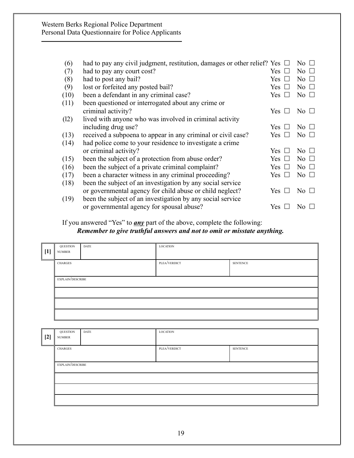| (6)  | had to pay any civil judgment, restitution, damages or other relief? Yes |            | No.               |
|------|--------------------------------------------------------------------------|------------|-------------------|
| (7)  | had to pay any court cost?                                               | Yes        | No.               |
| (8)  | had to post any bail?                                                    | Yes        | N <sub>0</sub>    |
| (9)  | lost or forfeited any posted bail?                                       | Yes        | No.               |
| (10) | been a defendant in any criminal case?                                   | Yes:       | No $\Box$         |
| (11) | been questioned or interrogated about any crime or                       |            |                   |
|      | criminal activity?                                                       | Yes 1      | $\rm No \ \sqcup$ |
| (12) | lived with anyone who was involved in criminal activity                  |            |                   |
|      | including drug use?                                                      | Yes.       | No.               |
| (13) | received a subpoena to appear in any criminal or civil case?             | Yes        | No $\Box$         |
| (14) | had police come to your residence to investigate a crime                 |            |                   |
|      | or criminal activity?                                                    | Yes        | No $\Box$         |
| (15) | been the subject of a protection from abuse order?                       | Yes        | No $\Box$         |
| (16) | been the subject of a private criminal complaint?                        | <b>Yes</b> | No $\Box$         |
| (17) | been a character witness in any criminal proceeding?                     | Yes.       | No $\Box$         |
| (18) | been the subject of an investigation by any social service               |            |                   |
|      | or governmental agency for child abuse or child neglect?                 | Yes:       | No $\Box$         |
| (19) | been the subject of an investigation by any social service               |            |                   |
|      | or governmental agency for spousal abuse?                                | Yes.       | No.               |
|      |                                                                          |            |                   |

If you answered "Yes" to *any* part of the above, complete the following: *Remember to give truthful answers and not to omit or misstate anything.*

| [1] | QUESTION<br><b>NUMBER</b> | DATE | <b>LOCATION</b> |                 |
|-----|---------------------------|------|-----------------|-----------------|
|     | CHARGES                   |      | PLEA/VERDICT    | <b>SENTENCE</b> |
|     | EXPLAIN/DESCRIBE          |      |                 |                 |
|     |                           |      |                 |                 |
|     |                           |      |                 |                 |

| <b>QUESTION</b><br><b>LOCATION</b><br>DATE |                  |  |              |                 |
|--------------------------------------------|------------------|--|--------------|-----------------|
| $[2]$                                      | <b>NUMBER</b>    |  |              |                 |
|                                            | <b>CHARGES</b>   |  | PLEA/VERDICT | <b>SENTENCE</b> |
|                                            |                  |  |              |                 |
|                                            | EXPLAIN/DESCRIBE |  |              |                 |
|                                            |                  |  |              |                 |
|                                            |                  |  |              |                 |
|                                            |                  |  |              |                 |
|                                            |                  |  |              |                 |
|                                            |                  |  |              |                 |
|                                            |                  |  |              |                 |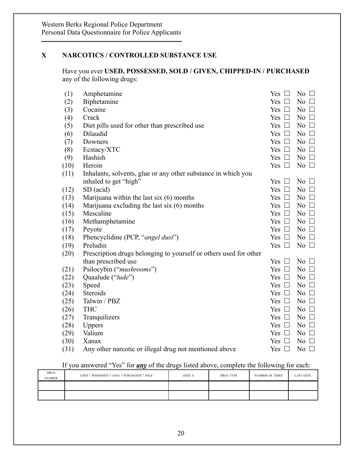# **X NARCOTICS / CONTROLLED SUBSTANCE USE**

Have you ever **USED, POSSESSED, SOLD / GIVEN, CHIPPED-IN / PURCHASED** any of the following drugs:

| (1)  | Amphetamine                                                       | Yes $\Box$    | No $\Box$    |
|------|-------------------------------------------------------------------|---------------|--------------|
| (2)  | Biphetamine                                                       | Yes $\Box$    | No $\Box$    |
| (3)  | Cocaine                                                           | Yes $\Box$    | No $\Box$    |
| (4)  | Crack                                                             | Yes $\Box$    | No $\Box$    |
| (5)  | Diet pills used for other than prescribed use                     | Yes $\Box$    | No $\Box$    |
| (6)  | Dilaudid                                                          | Yes $\Box$    | No $\square$ |
| (7)  | Downers                                                           | Yes $\Box$    | No $\Box$    |
| (8)  | Ecstacy/XTC                                                       | Yes $\Box$    | No $\Box$    |
| (9)  | Hashish                                                           | Yes $\Box$    | No $\square$ |
| (10) | Heroin                                                            | Yes $\Box$    | No $\square$ |
| (11) | Inhalants, solvents, glue or any other substance in which you     |               |              |
|      | inhaled to get "high"                                             | Yes $\Box$    | No $\square$ |
| (12) | SD (acid)                                                         | Yes $\square$ | No $\square$ |
| (13) | Marijuana within the last six $(6)$ months                        | Yes $\Box$    | No $\square$ |
| (14) | Marijuana excluding the last six (6) months                       | Yes $\Box$    | No $\square$ |
| (15) | Mescaline                                                         | Yes $\Box$    | No $\Box$    |
| (16) | Methamphetamine                                                   | Yes $\square$ | No $\Box$    |
| (17) | Peyote                                                            | Yes $\Box$    | No $\Box$    |
| (18) | Phencyclidine (PCP, "angel dust")                                 | Yes $\Box$    | No $\Box$    |
| (19) | Preludin                                                          | Yes $\Box$    | No $\Box$    |
| (20) | Prescription drugs belonging to yourself or others used for other |               |              |
|      | than prescribed use                                               | Yes $\square$ | No $\square$ |
| (21) | Psilocybin ("mushrooms")                                          | Yes $\Box$    | No $\Box$    |
| (22) | Quaalude ("lude")                                                 | Yes $\Box$    | No $\Box$    |
| (23) | Speed                                                             | Yes $\Box$    | No $\Box$    |
| (24) | Steroids                                                          | Yes $\Box$    | No $\Box$    |
| (25) | Talwin / PBZ                                                      | Yes $\Box$    | No $\Box$    |
| (26) | <b>THC</b>                                                        | Yes $\Box$    | No $\square$ |
| (27) | Tranquilizers                                                     | Yes $\Box$    | No $\square$ |
| (28) | <b>Uppers</b>                                                     | Yes $\Box$    | No $\Box$    |
| (29) | Valium                                                            | Yes $\Box$    | No $\Box$    |
| (30) | Xanax                                                             | Yes $\Box$    | No $\Box$    |
| (31) | Any other narcotic or illegal drug not mentioned above            | Yes $\Box$    | No $\Box$    |
|      |                                                                   |               |              |

# If you answered "Yes" for *any* of the drugs listed above, complete the following for each:

| DRUG<br><b>NUMBER</b> | USED / POSSESSED / GAVE / PURCHASED / SOLE | DATE S | DRUG TYPE | <b>NUMBER OF TIMES</b> | <b>LAST DATE</b> |
|-----------------------|--------------------------------------------|--------|-----------|------------------------|------------------|
|                       |                                            |        |           |                        |                  |
|                       |                                            |        |           |                        |                  |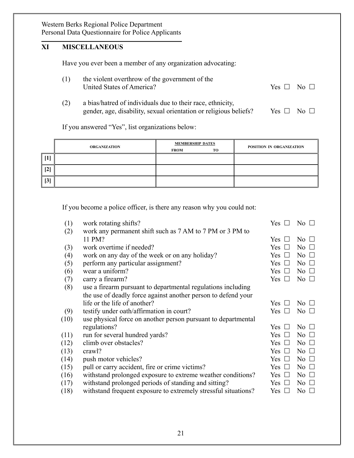# **XI MISCELLANEOUS**

Have you ever been a member of any organization advocating:

| the violent overthrow of the government of the |                      |  |  |
|------------------------------------------------|----------------------|--|--|
| United States of America?                      | Yes $\Box$ No $\Box$ |  |  |

(2) a bias/hatred of individuals due to their race, ethnicity, gender, age, disability, sexual orientation or religious beliefs? Yes  $\Box$  No  $\Box$ 

If you answered "Yes", list organizations below:

|                 |                     | <b>MEMBERSHIP DATES</b> |           |                          |  |
|-----------------|---------------------|-------------------------|-----------|--------------------------|--|
|                 | <b>ORGANIZATION</b> | <b>FROM</b>             | <b>TO</b> | POSITION IN ORGANIZATION |  |
|                 |                     |                         |           |                          |  |
| $\parallel$ [2] |                     |                         |           |                          |  |
| 3               |                     |                         |           |                          |  |

If you become a police officer, is there any reason why you could not:

| (1)  | work rotating shifts?                                          | Yes            | No $\Box$    |
|------|----------------------------------------------------------------|----------------|--------------|
| (2)  | work any permanent shift such as 7 AM to 7 PM or 3 PM to       |                |              |
|      | 11 PM?                                                         | Yes            | No.          |
| (3)  | work overtime if needed?                                       | Yes            | No $\Box$    |
| (4)  | work on any day of the week or on any holiday?                 | Yes            | No $\square$ |
| (5)  | perform any particular assignment?                             | Yes<br>$\perp$ | No $\Box$    |
| (6)  | wear a uniform?                                                | Yes<br>$\perp$ | No $\Box$    |
| (7)  | carry a firearm?                                               | Yes $\Box$     | No $\Box$    |
| (8)  | use a firearm pursuant to departmental regulations including   |                |              |
|      | the use of deadly force against another person to defend your  |                |              |
|      | life or the life of another?                                   | <b>Yes</b>     | No $\Box$    |
| (9)  | testify under oath/affirmation in court?                       | Yes            | No $\Box$    |
| (10) | use physical force on another person pursuant to departmental  |                |              |
|      | regulations?                                                   | Yes            | No $\square$ |
| (11) | run for several hundred yards?                                 | Yes            | No $\Box$    |
| (12) | climb over obstacles?                                          | Yes<br>$\perp$ | No $\Box$    |
| (13) | crawl?                                                         | Yes<br>$\perp$ | No $\Box$    |
| (14) | push motor vehicles?                                           | Yes            | No $\Box$    |
| (15) | pull or carry accident, fire or crime victims?                 | Yes<br>$\perp$ | No $\Box$    |
| (16) | withstand prolonged exposure to extreme weather conditions?    | Yes            | No $\Box$    |
| (17) | with stand prolonged periods of standing and sitting?          | Yes<br>$\perp$ | No $\Box$    |
| (18) | withstand frequent exposure to extremely stressful situations? | Yes            | No.          |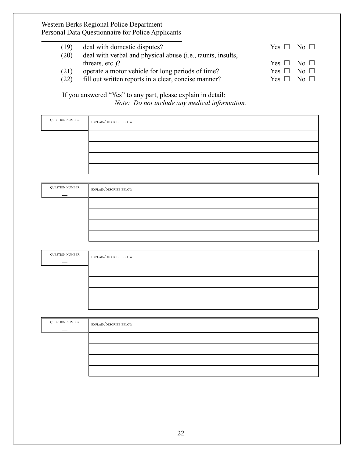| (19) | deal with domestic disputes?                                | $Yes \Box No \Box$ |                           |
|------|-------------------------------------------------------------|--------------------|---------------------------|
| (20) | deal with verbal and physical abuse (i.e., taunts, insults, |                    |                           |
|      | threats, $etc.$ )?                                          | Yes                | $\overline{N}$ $\Box$     |
| (21) | operate a motor vehicle for long periods of time?           | Yes 11             | No $\Box$                 |
| (22) | fill out written reports in a clear, concise manner?        | Yes $\Box$         | $\overline{N_{0}}$ $\Box$ |
|      |                                                             |                    |                           |

If you answered "Yes" to any part, please explain in detail: *Note: Do not include any medical information.*

| <b>QUESTION NUMBER</b> | <b>EXPLAIN/DESCRIBE BELOW</b> |
|------------------------|-------------------------------|
|                        |                               |
|                        |                               |
|                        |                               |
|                        |                               |
|                        |                               |
| <b>QUESTION NUMBER</b> | <b>EXPLAIN/DESCRIBE BELOW</b> |
|                        |                               |

| <b>QUESTION NUMBER</b> | <b>EXPLAIN/DESCRIBE BELOW</b> |
|------------------------|-------------------------------|
|                        |                               |
|                        |                               |
|                        |                               |
|                        |                               |

| <b>QUESTION NUMBER</b> | <b>EXPLAIN/DESCRIBE BELOW</b> |
|------------------------|-------------------------------|
|                        |                               |
|                        |                               |
|                        |                               |
|                        |                               |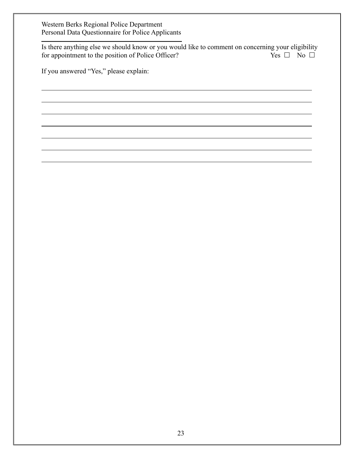Is there anything else we should know or you would like to comment on concerning your eligibility<br>for appointment to the position of Police Officer?<br>No  $\square$ for appointment to the position of Police Officer?

If you answered "Yes," please explain: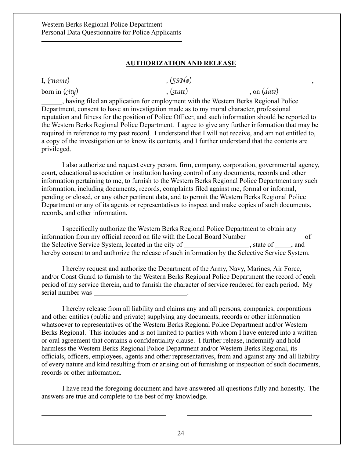#### **AUTHORIZATION AND RELEASE**

| I, $(\tau$ ame) | (SSN#)                                                                                 |               |  |
|-----------------|----------------------------------------------------------------------------------------|---------------|--|
|                 | . (state)                                                                              | , on $(data)$ |  |
|                 | having filed an application for employment with the Western Berks Regional Police      |               |  |
|                 | Department consent to have an investigation made as to my moral character professional |               |  |

Department, consent to have an investigation made as to my moral character, professional reputation and fitness for the position of Police Officer, and such information should be reported to the Western Berks Regional Police Department. I agree to give any further information that may be required in reference to my past record. I understand that I will not receive, and am not entitled to, a copy of the investigation or to know its contents, and I further understand that the contents are privileged.

I also authorize and request every person, firm, company, corporation, governmental agency, court, educational association or institution having control of any documents, records and other information pertaining to me, to furnish to the Western Berks Regional Police Department any such information, including documents, records, complaints filed against me, formal or informal, pending or closed, or any other pertinent data, and to permit the Western Berks Regional Police Department or any of its agents or representatives to inspect and make copies of such documents, records, and other information.

I specifically authorize the Western Berks Regional Police Department to obtain any information from my official record on file with the Local Board Number of the Selective Service System, located in the city of \_\_\_\_\_\_\_\_\_\_\_\_\_\_\_\_\_, state of \_\_\_\_, and hereby consent to and authorize the release of such information by the Selective Service System.

I hereby request and authorize the Department of the Army, Navy, Marines, Air Force, and/or Coast Guard to furnish to the Western Berks Regional Police Department the record of each period of my service therein, and to furnish the character of service rendered for each period. My serial number was ...

I hereby release from all liability and claims any and all persons, companies, corporations and other entities (public and private) supplying any documents, records or other information whatsoever to representatives of the Western Berks Regional Police Department and/or Western Berks Regional. This includes and is not limited to parties with whom I have entered into a written or oral agreement that contains a confidentiality clause. I further release, indemnify and hold harmless the Western Berks Regional Police Department and/or Western Berks Regional, its officials, officers, employees, agents and other representatives, from and against any and all liability of every nature and kind resulting from or arising out of furnishing or inspection of such documents, records or other information.

I have read the foregoing document and have answered all questions fully and honestly. The answers are true and complete to the best of my knowledge.